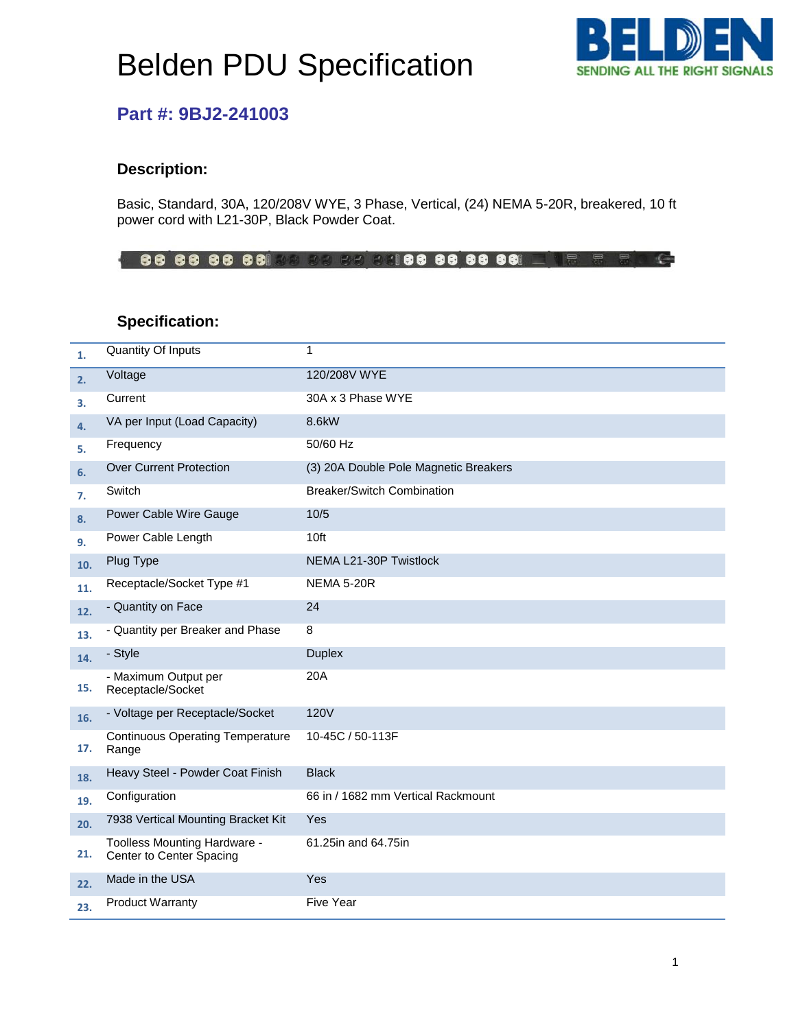# Belden PDU Specification



### **Part #: 9BJ2-241003**

### **Description:**

Basic, Standard, 30A, 120/208V WYE, 3 Phase, Vertical, (24) NEMA 5-20R, breakered, 10 ft power cord with L21-30P, Black Powder Coat.

 $\subset$ 

#### **Specification:**

| 1.  | <b>Quantity Of Inputs</b>                                | 1                                     |
|-----|----------------------------------------------------------|---------------------------------------|
| 2.  | Voltage                                                  | 120/208V WYE                          |
| 3.  | Current                                                  | 30A x 3 Phase WYE                     |
| 4.  | VA per Input (Load Capacity)                             | 8.6kW                                 |
| 5.  | Frequency                                                | 50/60 Hz                              |
| 6.  | <b>Over Current Protection</b>                           | (3) 20A Double Pole Magnetic Breakers |
| 7.  | Switch                                                   | <b>Breaker/Switch Combination</b>     |
| 8.  | Power Cable Wire Gauge                                   | 10/5                                  |
| 9.  | Power Cable Length                                       | 10ft                                  |
| 10. | Plug Type                                                | NEMA L21-30P Twistlock                |
| 11. | Receptacle/Socket Type #1                                | <b>NEMA 5-20R</b>                     |
| 12. | - Quantity on Face                                       | 24                                    |
| 13. | - Quantity per Breaker and Phase                         | 8                                     |
| 14. | - Style                                                  | <b>Duplex</b>                         |
| 15. | - Maximum Output per<br>Receptacle/Socket                | 20A                                   |
| 16. | - Voltage per Receptacle/Socket                          | <b>120V</b>                           |
| 17. | <b>Continuous Operating Temperature</b><br>Range         | 10-45C / 50-113F                      |
| 18. | Heavy Steel - Powder Coat Finish                         | <b>Black</b>                          |
| 19. | Configuration                                            | 66 in / 1682 mm Vertical Rackmount    |
| 20. | 7938 Vertical Mounting Bracket Kit                       | Yes                                   |
| 21. | Toolless Mounting Hardware -<br>Center to Center Spacing | 61.25in and 64.75in                   |
| 22. | Made in the USA                                          | Yes                                   |
| 23. | <b>Product Warranty</b>                                  | <b>Five Year</b>                      |